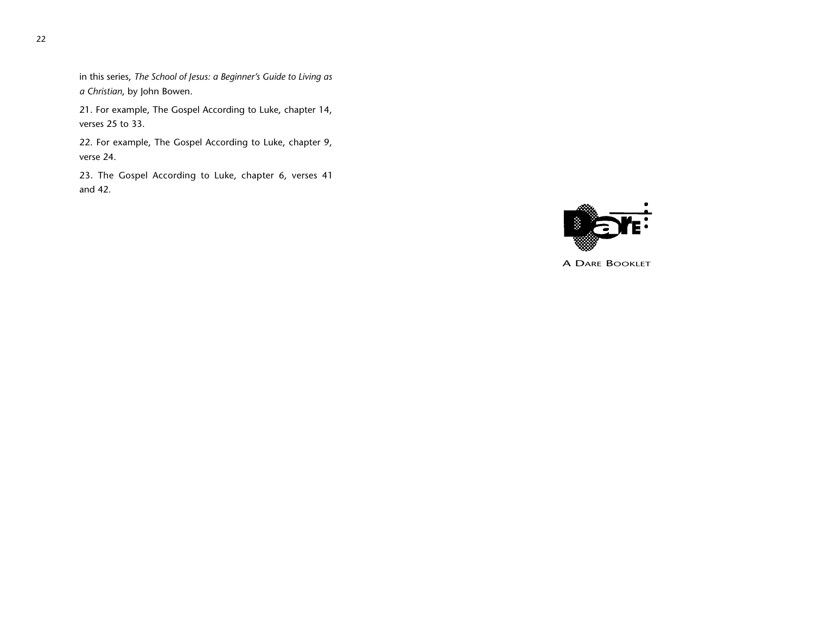in this series, *The School of Jesus: a Beginner's Guide to Living as a Christian*, by John Bowen.

21. For example, The Gospel According to Luke, chapter 14, verses 25 to 33.

22. For example, The Gospel According to Luke, chapter 9, verse 24.

23. The Gospel According to Luke, chapter 6, verses 41 and 42.



A DARE BOOKLET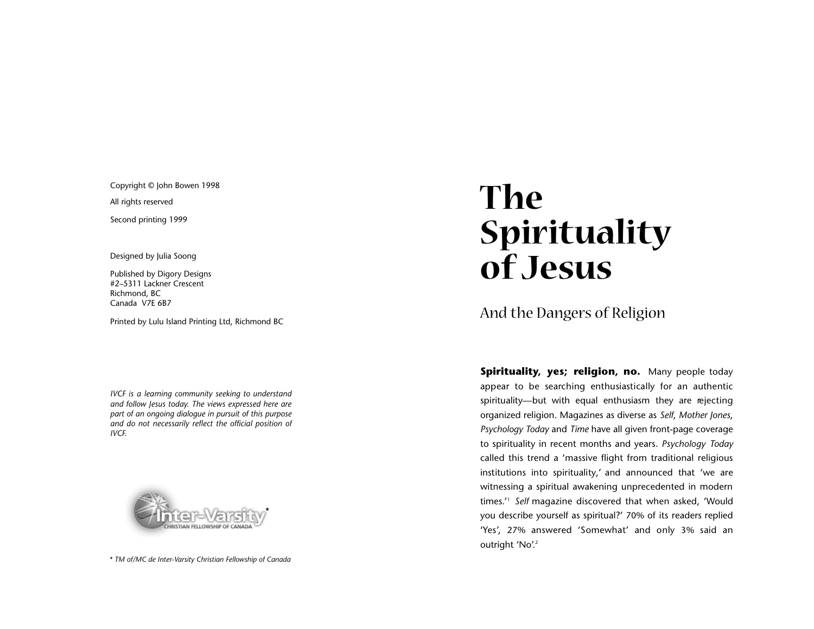Copyright © John Bowen 1998

All rights reserved

Second printing 1999

Designed by Julia Soong

Published by Digory Designs #2–5311 Lackner Crescent Richmond, BC Canada V7E 6B7

Printed by Lulu Island Printing Ltd, Richmond BC

*IVCF is a learning community seeking to understand and follow Jesus today. The views expressed here are part of an ongoing dialogue in pursuit of this purpose and do not necessarily reflect the official position of IVCF.*



*\* TM of/MC de Inter-Varsity Christian Fellowship of Canada*

# The<br>Spirituality of Jesus

# And the Dangers of R eli gio n

**Spirituality, yes; religion, no.** Many people today appear to be searching enthusiastically for an authentic spirituality—but with equal enthusiasm they are rejecting organized religion. Magazines as diverse as *Self*, *Mother Jones* , *Psychology Today* and *Time* have all given front-page coverage to spirituality in recent months and years. *Psychology Today* called this trend a 'massive flight from traditional religious institutio ns into spirituality,' and announced that 'we ar e witnessing a spiritual awakening unprecedented in moder n times . ' <sup>1</sup> *Self* magazine discovered that when asked, 'Would you describe yourself as spiritual?' 70% of its readers replied 'Yes', 27% answered 'Somewhat' and only 3% said an outright 'No'.<sup>2</sup>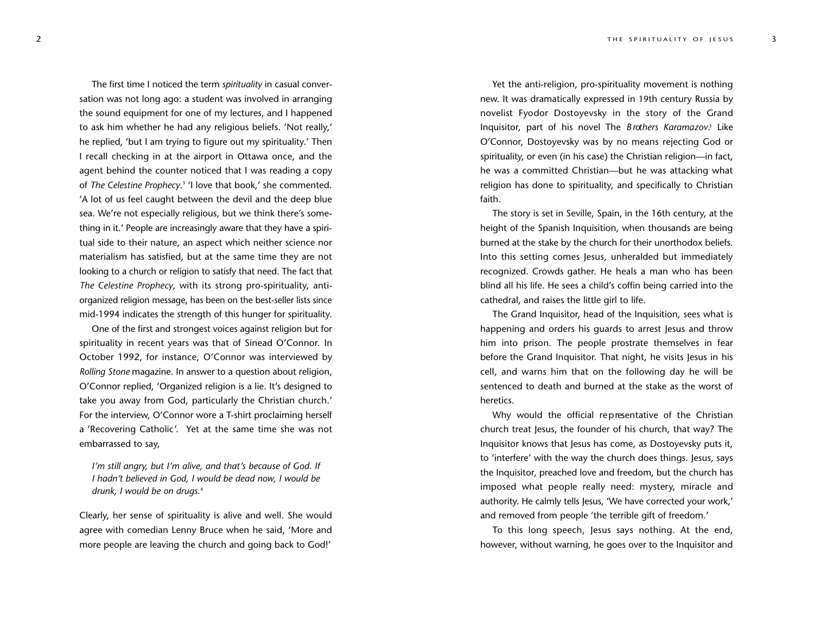The first time I noticed the term *spirituality* in casual conversation was not long ago: a student was involved in arranging the sound equipment for one of my lectures, and I happened to ask him whether he had any religious beliefs. 'Not really,' he replied, 'but I am trying to figure out my spirituality.' Then I recall checking in at the airport in Ottawa once, and the agent behind the counter noticed that I was reading a copy of *The Celestine Prophecy*. <sup>3</sup> 'I love that book,' she commented. 'A lot of us feel caught between the devil and the deep blue sea. We're not especially religious, but we think there's something in it.' People are increasingly aware that they have a spiritual side to their nature, an aspect which neither science nor materialism has satisfied, but at the same time they are not looking to a church or religion to satisfy that need. The fact that *The Celestine Prophecy*, with its strong pro-spirituality, antiorganized religion message, has been on the best-seller lists since mid-1994 indicates the strength of this hunger for spirituality.

One of the first and strongest voices against religion but for spirituality in recent years was that of Sinead O'Connor. In October 1992, for instance, O'Connor was interviewed by *Rolling Stone* magazine. In answer to a question about religion, O'Connor replied, 'Organized religion is a lie. It's designed to take you away from God, particularly the Christian church.' For the interview, O'Connor wore a T-shirt proclaiming herself a 'Recovering Catholic'. Yet at the same time she was not embarrassed to say,

*I'm still angry, but I'm alive, and that's because of God. If I hadn't believed in God, I would be dead now, I would be drunk, I would be on drugs.*<sup>4</sup>

Clearly, her sense of spirituality is alive and well. She would agree with comedian Lenny Bruce when he said, 'More and more people are leaving the church and going back to God!'

Yet the anti-religion, pro-spirituality movement is nothing new. It was dramatically expressed in 19th century Russia by novelist Fyodor Dostoyevsky in the story of the Grand Inquisitor, part of his novel The *B rothers Karamazov*.<sup>s</sup> Like O'Connor, Dostoyevsky was by no means rejecting God or spirituality, or even (in his case) the Christian religion—in fact, he was a committed Christian—but he was attacking what religion has done to spirituality, and specifically to Christian faith.

The story is set in Seville, Spain, in the 16th century, at the height of the Spanish Inquisition, when thousands are being burned at the stake by the church for their unorthodox beliefs. Into this setting comes Jesus, unheralded but immediately recognized. Crowds gather. He heals a man who has been blind all his life. He sees a child's coffin being carried into the cathedral, and raises the little girl to life.

The Grand Inquisitor, head of the Inquisition, sees what is happening and orders his guards to arrest Jesus and throw him into prison. The people prostrate themselves in fear before the Grand Inquisitor. That night, he visits Jesus in his cell, and warns him that on the following day he will be sentenced to death and burned at the stake as the worst of heretics.

Why would the official representative of the Christian church treat Jesus, the founder of his church, that way? The Inquisitor knows that Jesus has come, as Dostoyevsky puts it, to 'interfere' with the way the church does things. Jesus, says the Inquisitor, preached love and freedom, but the church has imposed what people really need: mystery, miracle and authority. He calmly tells Jesus, 'We have corrected your work,' and removed from people 'the terrible gift of freedom.'

To this long speech, Jesus says nothing. At the end, however, without warning, he goes over to the Inquisitor and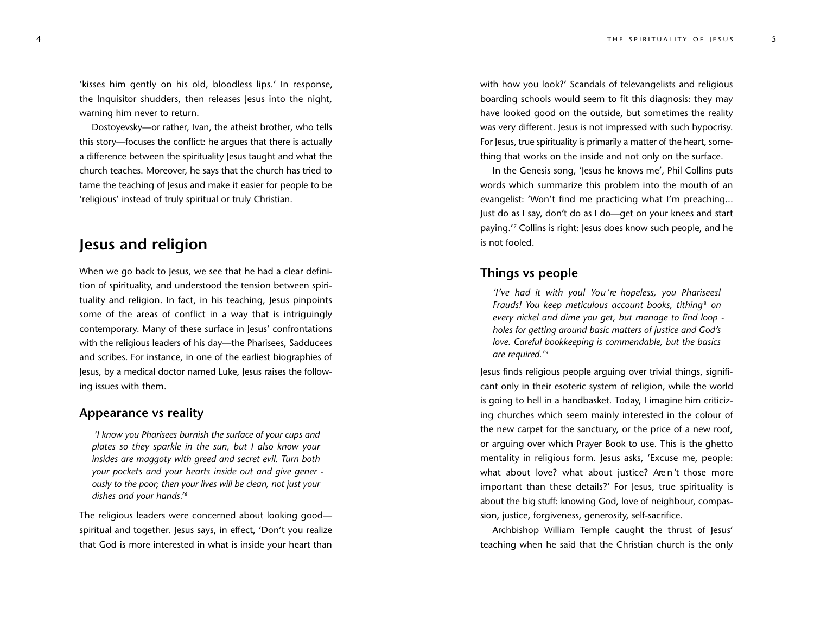'kisses him gently on his old, bloodless lips.' In response, the Inquisitor shudders, then releases Jesus into the night, warning him never to return.

Dostoyevsky—or rather, Ivan, the atheist brother, who tells this story—focuses the conflict: he argues that there is actually a difference between the spirituality Jesus taught and what the church teaches. Moreover, he says that the church has tried to tame the teaching of Jesus and make it easier for people to be 'religious' instead of truly spiritual or truly Christian.

## **Jesus and religion**

When we go back to Jesus, we see that he had a clear definition of spirituality, and understood the tension between spirituality and religion. In fact, in his teaching, Jesus pinpoints some of the areas of conflict in a way that is intriguingly contemporary. Many of these surface in Jesus' confrontations with the religious leaders of his day—the Pharisees, Sadducees and scribes. For instance, in one of the earliest biographies of Jesus, by a medical doctor named Luke, Jesus raises the following issues with them.

#### **Appearance vs reality**

*'I know you Pharisees burnish the surface of your cups and plates so they sparkle in the sun, but I also know your insides are maggoty with greed and secret evil. Turn both your pockets and your hearts inside out and give gener ously to the poor; then your lives will be clean, not just your* dishes and your hands.<sup>16</sup>

The religious leaders were concerned about looking good spiritual and together. Jesus says, in effect, 'Don't you realize that God is more interested in what is inside your heart than with how you look?' Scandals of televangelists and religious boarding schools would seem to fit this diagnosis: they may have looked good on the outside, but sometimes the reality was very different. Jesus is not impressed with such hypocrisy. For Jesus, true spirituality is primarily a matter of the heart, something that works on the inside and not only on the surface.

In the Genesis song, 'Jesus he knows me', Phil Collins puts words which summarize this problem into the mouth of an evangelist: 'Won't find me practicing what I'm preaching... Just do as I say, don't do as I do—get on your knees and start paying.' <sup>7</sup> Collins is right: Jesus does know such people, and he is not fooled.

#### **Things vs people**

*'I've had it with you! Yo u ' re hopeless, you Pharisees! Frauds! You keep meticulous account books, tithing<sup>8</sup> on every nickel and dime you get, but manage to find loop holes for getting around basic matters of justice and God's love. Careful bookkeeping is commendable, but the basics* are required.<sup>'9</sup>

Jesus finds religious people arguing over trivial things, significant only in their esoteric system of religion, while the world is going to hell in a handbasket. Today, I imagine him criticizing churches which seem mainly interested in the colour of the new carpet for the sanctuary, or the price of a new roof, or arguing over which Prayer Book to use. This is the ghetto mentality in religious form. Jesus asks, 'Excuse me, people: what about love? what about justice? Aren't those more important than these details?' For Jesus, true spirituality is about the big stuff: knowing God, love of neighbour, compassion, justice, forgiveness, generosity, self-sacrifice.

Archbishop William Temple caught the thrust of Jesus' teaching when he said that the Christian church is the only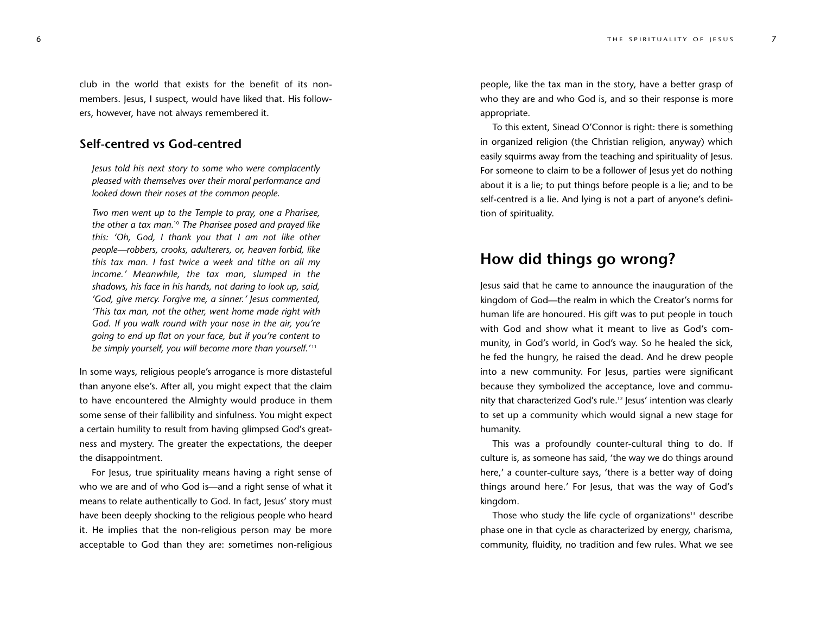club in the world that exists for the benefit of its nonmembers. Jesus, I suspect, would have liked that. His followers, however, have not always remembered it.

### **Self-centred vs God-centred**

*Jesus told his next story to some who were complacently pleased with themselves over their moral performance and looked down their noses at the common people. Two men went up to the Temple to pray, one a Pharisee,*

*the other a tax man.*<sup>10</sup> *The Pharisee posed and prayed like this: 'Oh, God, I thank you that I am not like other people—robbers, crooks, adulterers, or, heaven forbid, like this tax man. I fast twice a week and tithe on all my income.' Meanwhile, the tax man, slumped in the shadows, his face in his hands, not daring to look up, said, 'God, give mercy. Forgive me, a sinner.' Jesus commented, 'This tax man, not the other, went home made right with God. If you walk round with your nose in the air, you're going to end up flat on your face, but if you're content to be simply yourself, you will become more than yourself. '* <sup>11</sup>

In some ways, religious people's arrogance is more distasteful than anyone else's. After all, you might expect that the claim to have encountered the Almighty would produce in them some sense of their fallibility and sinfulness. You might expect a certain humility to result from having glimpsed God's greatness and myster y. The greater the expectations, the deeper the disappointment.

For Jesus, true spirituality means having a right sense of who we are and of who God is—and a right sense of what it means to relate authentically to God. In fact, Jesus' story must have been deeply shocking to the religious people who hear d it. He implies that the non-religious person may be mor e acceptable to God than they are: sometimes non-religious people, like the tax man in the story, have a better grasp of who they are and who God is, and so their response is mor e appropriate.

To this extent, Sinead O'Connor is right: there is something in organized religion (the Christian religion, anyway) which easily squirms away from the teaching and spirituality of Jesus. For someone to claim to be a follower of Jesus yet do nothing about it is a lie; to put things before people is a lie; and to be self-centred is a lie. And lying is not a part of anyone's defini tion of spirituality .

## **How did things go wrong?**

Jesus said that he came to announce the inauguration of the kingdom of God—the realm in which the Creator's norms for human life are honoured. His gift was to put people in touch with God and show what it meant to live as God's community, in God's world, in God's way. So he healed the sick, he fed the hungry, he raised the dead. And he drew people into a new community. For Jesus, parties were significant because they symbolized the acceptance, love and commu nity that characterized God's rule.12 Jesus' intention was clearly to set up a community which would signal a new stage for humanity .

This was a profoundly counter-cultural thing to do. If culture is, as someone has said, 'the way we do things around here,' a counter-culture says, 'there is a better way of doing things around here.' For Jesus, that was the way of God' s kingdom.

Those who study the life cycle of organizations $13$  describe phase one in that cycle as characterized by energy, charisma, community, fluidity, no tradition and few rules. What we see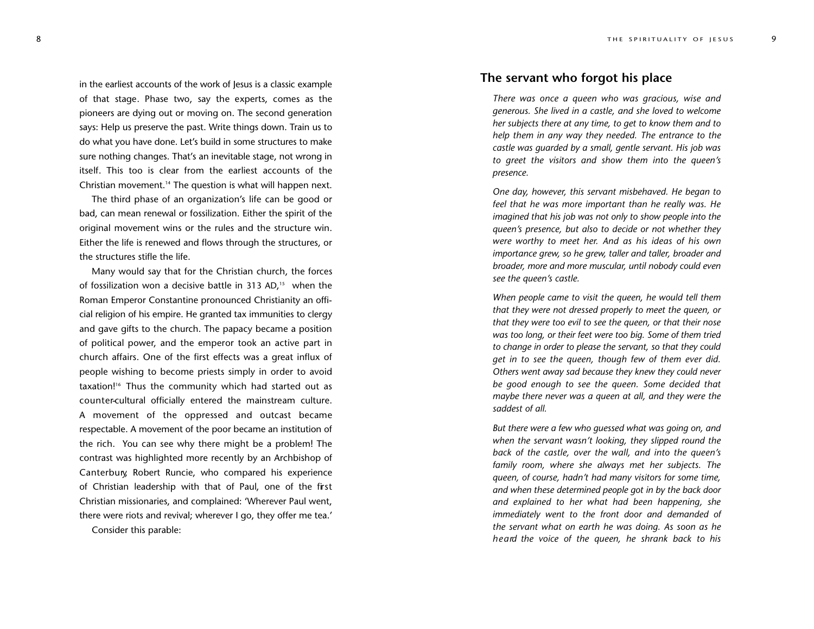9

in the earliest accounts of the work of Jesus is a classic example of that stage. Phase two, say the experts, comes as the pioneers are dying out or moving on. The second generation says: Help us preserve the past. Write things down. Train us to do what you have done. Let's build in some structures to make sure nothing changes. That's an inevitable stage, not wrong in itself. This too is clear from the earliest accounts of the Christian movement.14 The question is what will happen next.

The third phase of an organization's life can be good or bad, can mean renewal or fossilization. Either the spirit of the original movement wins or the rules and the structure win. Either the life is renewed and flows through the structures, or the structures stifle the life.

Many would say that for the Christian church, the forces of fossilization won a decisive battle in 313 AD , <sup>15</sup> when the Roman Emperor Constantine pronounced Christianity an offi cial religion of his empire. He granted tax immunities to clergy and gave gifts to the church. The papacy became a position of political power, and the emperor took an active part in church affairs. One of the first effects was a great influx of people wishing to become priests simply in order to avoid taxation!16 Thus the community which had started out as counter-cultural officially entered the mainstream culture. A movement of the oppressed and outcast became respectable. A movement of the poor became an institution of the rich. You can see why there might be a problem! The contrast was highlighted more recently by an Archbishop of Canterbury, Robert Runcie, who compared his experience of Christian leadership with that of Paul, one of the first Christian missionaries, and complained: 'Wherever Paul went, there were riots and revival; wherever I go, they offer me tea.' Consider this parable:

#### **The servant who forgot his place**

*There was once a queen who was gracious, wise and generous. She lived in a castle, and she loved to welcome her subjects there at any time, to get to know them and to help them in any way they needed. The entrance to the castle was guarded by a small, gentle servant. His job was to greet the visitors and show them into the queen's presence.*

*One day, however, this servant misbehaved. He began to feel that he was more important than he really was. He imagined that his job was not only to show people into the queen's presence, but also to decide or not whether they were worthy to meet her. And as his ideas of his own importance grew, so he grew, taller and taller, broader and broader, more and more muscular, until nobody could even see the queen's castle.*

*When people came to visit the queen, he would tell them that they were not dressed properly to meet the queen, or that they were too evil to see the queen, or that their nose was too long, or their feet were too big. Some of them tried to change in order to please the servant, so that they could get in to see the queen, though few of them ever did. Others went away sad because they knew they could never be good enough to see the queen. Some decided that maybe there never was a queen at all, and they were the saddest of all.*

*But there were a few who guessed what was going on, and when the servant wasn't looking, they slipped round the back of the castle, over the wall, and into the queen's family ro om, where she always met her subjects. The queen, of course, hadn't had many visitors for some time, and when these determined people got in by the back door and exp lained t o he r what had b e en happening, she immediately went to t h e front door and demanded of the servant what on earth he was doing. As soon as he h e a rd the v o ice of the qu een, he shr ank b ack to his*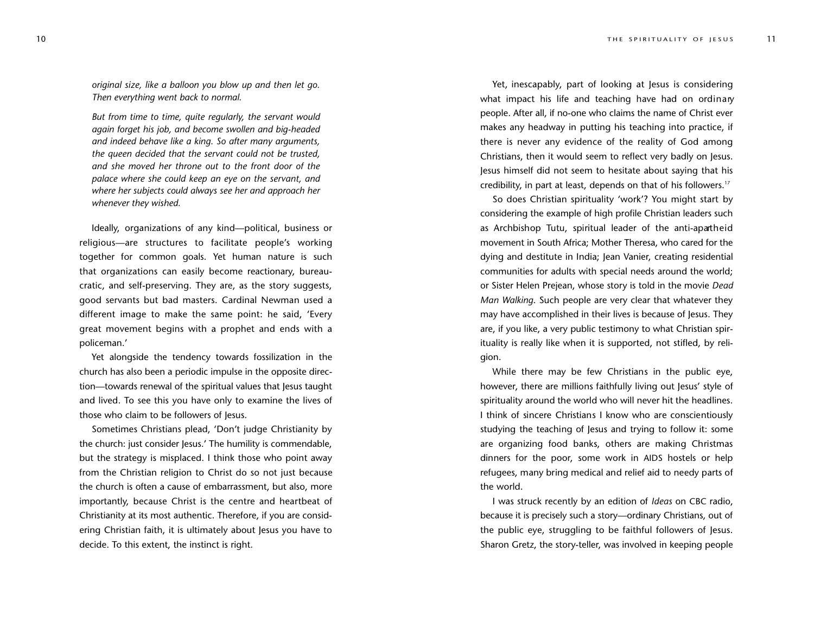*original size, like a balloon you blow up and then let go. Then everything went back to normal.*

*But from time to time, quite regularly, the servant would again forget his job, and become swollen and big-headed and indeed behave like a king. So after many arguments, the queen decided that the servant could not be trusted, and she moved her throne out to the front door of the palace where she could keep an eye on the servant, and where her subjects could always see her and approach her whenever they wished.*

Ideally, organizations of any kind—political, business or religious—are structures to facilitate people's working together for common goals. Yet human nature is such that organizations can easily become reactionary, bureaucratic, and self-preserving. They are, as the story suggests, good servants but bad masters. Cardinal Newman used a different image to make the same point: he said, 'Every great movement begins with a prophet and ends with a policeman.'

Yet alongside the tendency towards fossilization in the church has also been a periodic impulse in the opposite direction—towards renewal of the spiritual values that Jesus taught and lived. To see this you have only to examine the lives of those who claim to be followers of Jesus.

Sometimes Christians plead, 'Don't judge Christianity by the church: just consider Jesus.' The humility is commendable, but the strategy is misplaced. I think those who point away from the Christian religion to Christ do so not just because the church is often a cause of embarrassment, but also, more importantly, because Christ is the centre and heartbeat of Christianity at its most authentic. Therefore, if you are considering Christian faith, it is ultimately about Jesus you have to decide. To this extent, the instinct is right.

Yet, inescapably, part of looking at Jesus is considering what impact his life and teaching have had on ordinary people. After all, if no-one who claims the name of Christ ever makes any headway in putting his teaching into practice, if there is never any evidence of the reality of God among Christians, then it would seem to reflect very badly on Jesus. Jesus himself did not seem to hesitate about saying that his credibility, in part at least, depends on that of his followers.17

So does Christian spirituality 'work'? You might start by considering the example of high profile Christian leaders such as Archbishop Tutu, spiritual leader of the anti-apartheid movement in South Africa; Mother Theresa, who cared for the dying and destitute in India; Jean Vanier, creating residential communities for adults with special needs around the world; or Sister Helen Prejean, whose story is told in the movie *Dead Man Walking*. Such people are very clear that whatever they may have accomplished in their lives is because of Jesus. They are, if you like, a very public testimony to what Christian spirituality is really like when it is supported, not stifled, by religion.

While there may be few Christians in the public eye, however, there are millions faithfully living out Jesus' style of spirituality around the world who will never hit the headlines. I think of sincere Christians I know who are conscientiously studying the teaching of Jesus and trying to follow it: some are organizing food banks, others are making Christmas dinners for the poor, some work in AIDS hostels or help refugees, many bring medical and relief aid to needy parts of the world.

I was struck recently by an edition of *Ideas* on CBC radio, because it is precisely such a story—ordinary Christians, out of the public eye, struggling to be faithful followers of Jesus. Sharon Gretz, the story-teller, was involved in keeping people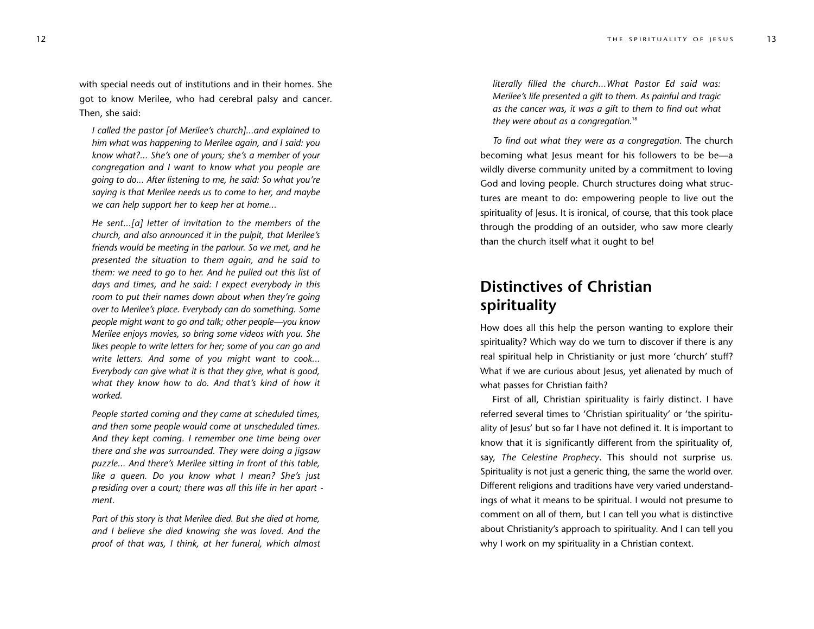with special needs out of institutions and in their homes. She got to know Merilee, who had cerebral palsy and cancer . Then, she said:

*I called the pastor [of Merilee's church]...and explained to him what was happening to Merilee again, and I said: you know what?... She's one of yours; she's a member of your congregation and I want to know what you people are going to do... After listening to me, he said: So what you're saying is that Merilee needs us to come to her, and maybe we can help support her to keep her at home...* 

*He sent...[a] letter of invitation to the members of the church, and also announced it in the pulpit, that Merilee's friends would be meeting in the parlour. So we met, and he presented the situation to them again, and he said to them: we need to go to her. And he pulled out this list of days and times, and he said: I expect everybody in this room to put their names down about when they're going over to Merilee's place. Everybody can do something. Some people might want to go and talk; other people—you know Merilee enjoys movies, so bring some videos with you. She likes people to write letters for her; some of you can go and wri te l ett e rs. And some of y ou might want t o coo k ... Everybody can give what it is that they give, what is good, what they know how to do. And that's kind of how it worked.*

*People started coming and they came at scheduled times, and then some peo p le w oul d c ome at unsche dul e d ti mes. And t hey kep t coming . I rememb e r o ne t ime bei ng o ver t h e re and she was surro unded . The y were do ing a j igsa w* puzzle... And there's Merilee sitting in front of this table, *l ike a qu e en. Do y ou kno w wha t I m ean? Sh e 's just* presiding over a court; there was all this life in her apart *ment .*

*Part of this story is that Merilee died. But she died at home, and I believe she died knowing she was loved. And the proof of that was, I think, at her funeral, which almost* 

literally filled the church...What Pastor Ed said was: *Merilee's life presented a gift to them. As painful and tragic as the cancer was, it was a gift to them to find out what they were about as a congregation.*<sup>18</sup>

*To find out what they were as a congregation*. The church becoming what Jesus meant for his followers to be be—a wildly diverse community united by a commitment to loving God and loving people. Church structures doing what struc tures are meant to do: empowering people to live out the spirituality of Jesus. It is ironical, of course, that this took place through the prodding of an outsider, who saw more clearly than the church itself what it ought to be!

# **Distinctives of Christian spirituality**

How does all this help the person wanting to explore their spirituality? Which way do we turn to discover if there is any real spiritual help in Christianity or just more 'church' stuff? What if we are curious about Jesus, yet alienated by much of what passes for Christian faith?

First of all, Christian spirituality is fairly distinct. I have refer red several times to 'Christian spirituality' or 'the spiritu ality of Jesus' but so far I have not defined it. It is important to know that it is significantly different from the spirituality of, say, The Celestine Prophecy. This should not surprise us. Spirituality is not just a generic thing, the same the world over . Different religions and traditions have very varied understand ings of what it means to be spiritual. I would not presume to comment on all of them, but I can tell you what is distinctive about Christianity's approach to spirituality. And I can tell you why I work on my spirituality in a Christian context.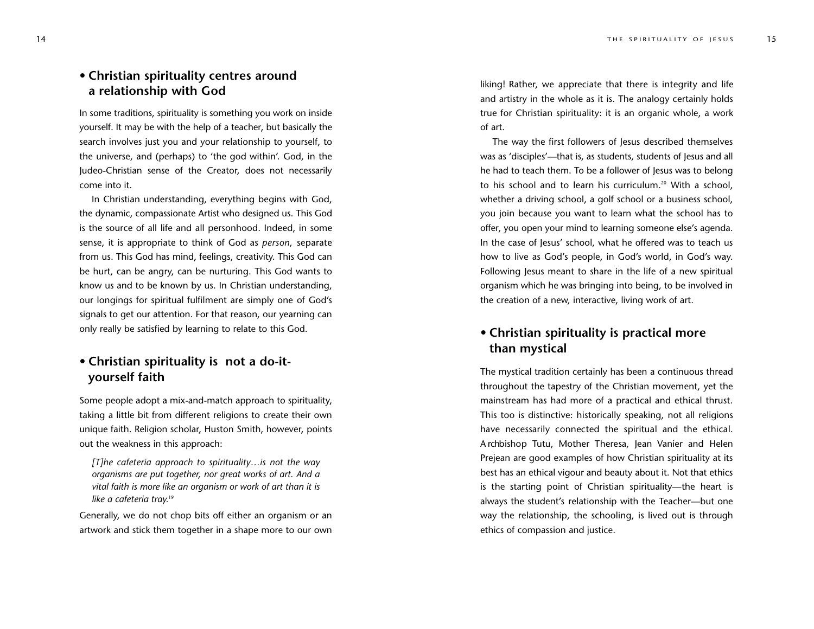## **• Christian spirituality centres around a relationship with God**

In some traditions, spirituality is something you work on inside yourself. It may be with the help of a teacher, but basically the search involves just you and your relationship to yourself, to the universe, and (perhaps) to 'the god within'. God, in the Judeo-Christian sense of the Creator, does not necessarily come into it.

In Christian understanding, everything begins with God, the dynamic, compassionate Artist who designed us. This God is the source of all life and all personhood. Indeed, in some sense, it is appropriate to think of God as *person*, separate from us. This God has mind, feelings, creativity. This God can be hurt, can be angry, can be nurturing. This God wants to know us and to be known by us. In Christian understanding, our longings for spiritual fulfilment are simply one of God's signals to get our attention. For that reason, our yearning can only really be satisfied by learning to relate to this God.

## **• Christian spirituality is not a do-ityourself faith**

Some people adopt a mix-and-match approach to spirituality, taking a little bit from different religions to create their own unique faith. Religion scholar, Huston Smith, however, points out the weakness in this approach:

*[T]he cafeteria approach to spirituality…is not the way organisms are put together, nor great works of art. And a vital faith is more like an organism or work of art than it is like a cafeteria tray.* 19

Generally, we do not chop bits off either an organism or an artwork and stick them together in a shape more to our own liking! Rather, we appreciate that there is integrity and life and artistry in the whole as it is. The analogy certainly holds true for Christian spirituality: it is an organic whole, a work of art.

The way the first followers of Jesus described themselves was as 'disciples'—that is, as students, students of Jesus and all he had to teach them. To be a follower of Jesus was to belong to his school and to learn his curriculum.<sup>20</sup> With a school, whether a driving school, a golf school or a business school, you join because you want to learn what the school has to offer, you open your mind to learning someone else's agenda. In the case of Jesus' school, what he offered was to teach us how to live as God's people, in God's world, in God's way. Following Jesus meant to share in the life of a new spiritual organism which he was bringing into being, to be involved in the creation of a new, interactive, living work of art.

## **• Christian spirituality is practical more than mystical**

The mystical tradition certainly has been a continuous thread throughout the tapestry of the Christian movement, yet the mainstream has had more of a practical and ethical thrust. This too is distinctive: historically speaking, not all religions have necessarily connected the spiritual and the ethical. A rchbishop Tutu, Mother Theresa, Jean Vanier and Helen Prejean are good examples of how Christian spirituality at its best has an ethical vigour and beauty about it. Not that ethics is the starting point of Christian spirituality—the heart is always the student's relationship with the Teacher—but one way the relationship, the schooling, is lived out is through ethics of compassion and justice.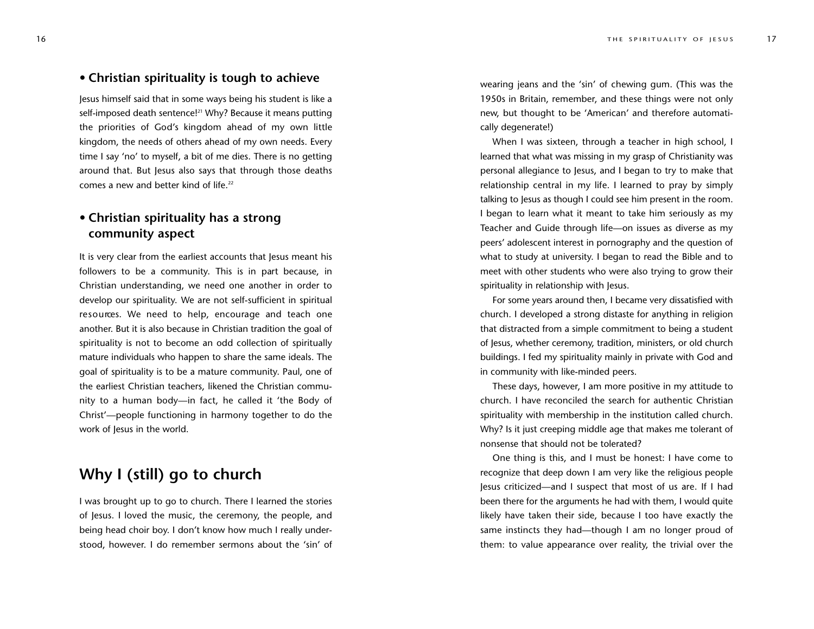#### **• Christian spirituality is tough to achieve**

Jesus himself said that in some ways being his student is like a self-imposed death sentence!<sup>21</sup> Why? Because it means putting the priorities of God's kingdom ahead of my own little kingdom, the needs of others ahead of my own needs. Every time I say 'no' to myself, a bit of me dies. There is no getting around that. But Jesus also says that through those deaths comes a new and better kind of life.<sup>22</sup>

## **• Christian spirituality has a strong community aspect**

It is very clear from the earliest accounts that Jesus meant his followers to be a community. This is in part because, in Christian understanding, we need one another in order to develop our spirituality. We are not self-sufficient in spiritual re sources. We need to help, encourage and teach one another. But it is also because in Christian tradition the goal of spirituality is not to become an odd collection of spiritually mature individuals who happen to share the same ideals. The goal of spirituality is to be a mature community. Paul, one of the earliest Christian teachers, likened the Christian community to a human body—in fact, he called it 'the Body of Christ'—people functioning in harmony together to do the work of Jesus in the world.

# **Why I (still) go to church**

I was brought up to go to church. There I learned the stories of Jesus. I loved the music, the ceremony, the people, and being head choir boy. I don't know how much I really understood, however. I do remember sermons about the 'sin' of wearing jeans and the 'sin' of chewing gum. (This was the 1950s in Britain, remember, and these things were not only new, but thought to be 'American' and therefore automatically degenerate!)

When I was sixteen, through a teacher in high school, I learned that what was missing in my grasp of Christianity was personal allegiance to Jesus, and I began to try to make that relationship central in my life. I learned to pray by simply talking to Jesus as though I could see him present in the room. I began to learn what it meant to take him seriously as my Teacher and Guide through life—on issues as diverse as my peers' adolescent interest in pornography and the question of what to study at university. I began to read the Bible and to meet with other students who were also trying to grow their spirituality in relationship with Jesus.

For some years around then, I became very dissatisfied with church. I developed a strong distaste for anything in religion that distracted from a simple commitment to being a student of Jesus, whether ceremony, tradition, ministers, or old church buildings. I fed my spirituality mainly in private with God and in community with like-minded peers.

These days, however, I am more positive in my attitude to church. I have reconciled the search for authentic Christian spirituality with membership in the institution called church. Why? Is it just creeping middle age that makes me tolerant of nonsense that should not be tolerated?

One thing is this, and I must be honest: I have come to recognize that deep down I am very like the religious people Jesus criticized—and I suspect that most of us are. If I had been there for the arguments he had with them, I would quite likely have taken their side, because I too have exactly the same instincts they had—though I am no longer proud of them: to value appearance over reality, the trivial over the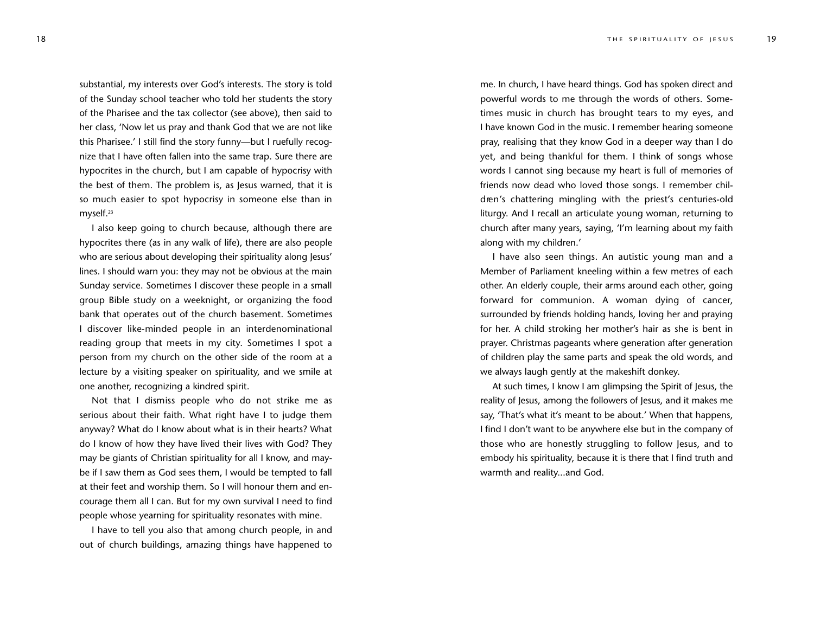substantial, my interests over God's interests. The story is told of the Sunday school teacher who told her students the story of the Pharisee and the tax collector (see above), then said to her class, 'Now let us pray and thank God that we are not like this Pharisee.' I still find the story funny—but I ruefully recognize that I have often fallen into the same trap. Sure there are hypocrites in the church, but I am capable of hypocrisy with the best of them. The problem is, as Jesus warned, that it is so much easier to spot hypocrisy in someone else than in myself.23

I also keep going to church because, although there are hypocrites there (as in any walk of life), there are also people who are serious about developing their spirituality along Jesus' lines. I should warn you: they may not be obvious at the main Sunday service. Sometimes I discover these people in a small group Bible study on a weeknight, or organizing the food bank that operates out of the church basement. Sometimes I discover like-minded people in an interdenominational reading group that meets in my city. Sometimes I spot a person from my church on the other side of the room at a lecture by a visiting speaker on spirituality, and we smile at one another, recognizing a kindred spirit.

Not that I dismiss people who do not strike me as serious about their faith. What right have I to judge them anyway? What do I know about what is in their hearts? What do I know of how they have lived their lives with God? They may be giants of Christian spirituality for all I know, and maybe if I saw them as God sees them, I would be tempted to fall at their feet and worship them. So I will honour them and encourage them all I can. But for my own survival I need to find people whose yearning for spirituality resonates with mine.

I have to tell you also that among church people, in and out of church buildings, amazing things have happened to me. In church, I have heard things. God has spoken direct and powerful words to me through the words of others. Sometimes music in church has brought tears to my eyes, and I have known God in the music. I remember hearing someone pray, realising that they know God in a deeper way than I do yet, and being thankful for them. I think of songs whose words I cannot sing because my heart is full of memories of friends now dead who loved those songs. I remember children's chattering mingling with the priest's centuries-old liturgy. And I recall an articulate young woman, returning to church after many years, saying, 'I'm learning about my faith along with my children.'

I have also seen things. An autistic young man and a Member of Parliament kneeling within a few metres of each other. An elderly couple, their arms around each other, going forward for communion. A woman dying of cancer, surrounded by friends holding hands, loving her and praying for her. A child stroking her mother's hair as she is bent in prayer. Christmas pageants where generation after generation of children play the same parts and speak the old words, and we always laugh gently at the makeshift donkey.

At such times, I know I am glimpsing the Spirit of Jesus, the reality of Jesus, among the followers of Jesus, and it makes me say, 'That's what it's meant to be about.' When that happens, I find I don't want to be anywhere else but in the company of those who are honestly struggling to follow Jesus, and to embody his spirituality, because it is there that I find truth and warmth and reality...and God.